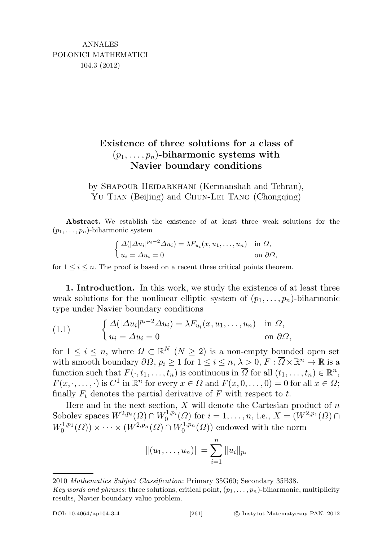## Existence of three solutions for a class of  $(p_1, \ldots, p_n)$ -biharmonic systems with Navier boundary conditions

by SHAPOUR HEIDARKHANI (Kermanshah and Tehran), YU TIAN (Beijing) and CHUN-LEI TANG (Chongqing)

Abstract. We establish the existence of at least three weak solutions for the  $(p_1, \ldots, p_n)$ -biharmonic system

$$
\begin{cases} \Delta(|\Delta u_i|^{p_i-2}\Delta u_i) = \lambda F_{u_i}(x, u_1, \dots, u_n) & \text{in } \Omega, \\ u_i = \Delta u_i = 0 & \text{on } \partial\Omega, \end{cases}
$$

for  $1 \leq i \leq n$ . The proof is based on a recent three critical points theorem.

1. Introduction. In this work, we study the existence of at least three weak solutions for the nonlinear elliptic system of  $(p_1, \ldots, p_n)$ -biharmonic type under Navier boundary conditions

<span id="page-0-0"></span>(1.1) 
$$
\begin{cases} \Delta(|\Delta u_i|^{p_i-2}\Delta u_i) = \lambda F_{u_i}(x, u_1, \dots, u_n) & \text{in } \Omega, \\ u_i = \Delta u_i = 0 & \text{on } \partial \Omega, \end{cases}
$$

for  $1 \leq i \leq n$ , where  $\Omega \subset \mathbb{R}^N$   $(N \geq 2)$  is a non-empty bounded open set with smooth boundary  $\partial\Omega, p_i \geq 1$  for  $1 \leq i \leq n, \lambda > 0, F : \overline{\Omega} \times \mathbb{R}^n \to \mathbb{R}$  is a function such that  $F(\cdot, t_1, \ldots, t_n)$  is continuous in  $\overline{\Omega}$  for all  $(t_1, \ldots, t_n) \in \mathbb{R}^n$ ,  $F(x, \cdot, \ldots, \cdot)$  is  $C^1$  in  $\mathbb{R}^n$  for every  $x \in \overline{\Omega}$  and  $F(x, 0, \ldots, 0) = 0$  for all  $x \in \Omega$ ; finally  $F_t$  denotes the partial derivative of  $F$  with respect to  $t$ .

Here and in the next section,  $X$  will denote the Cartesian product of  $n$ Sobolev spaces  $W^{2,p_i}(\Omega) \cap W_0^{1,p_i}(\Omega)$  for  $i = 1, \ldots, n$ , i.e.,  $X = (W^{2,p_1}(\Omega) \cap W_0^{1,p_2}(\Omega))$  $W_0^{1,p_1}(\Omega) \times \cdots \times (W^{2,p_n}(\Omega) \cap W_0^{1,p_n}(\Omega))$  endowed with the norm

$$
||(u_1,\ldots,u_n)||=\sum_{i=1}^n||u_i||_{p_i}
$$

<sup>2010</sup> Mathematics Subject Classification: Primary 35G60; Secondary 35B38.

Key words and phrases: three solutions, critical point,  $(p_1, \ldots, p_n)$ -biharmonic, multiplicity results, Navier boundary value problem.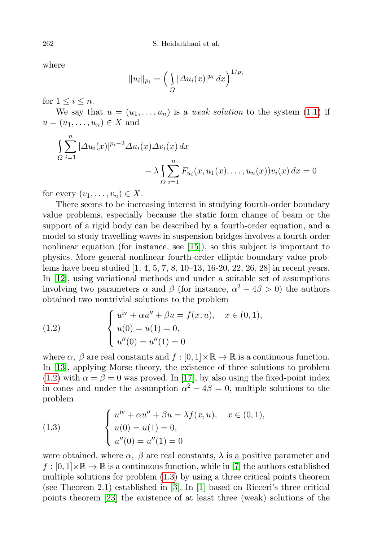where

$$
||u_i||_{p_i} = \left(\int_{\Omega} |\Delta u_i(x)|^{p_i} dx\right)^{1/p_i}
$$

for  $1 \leq i \leq n$ .

We say that  $u = (u_1, \ldots, u_n)$  is a weak solution to the system [\(1.1\)](#page-0-0) if  $u = (u_1, \ldots, u_n) \in X$  and

$$
\int_{\Omega} \sum_{i=1}^{n} |\Delta u_i(x)|^{p_i-2} \Delta u_i(x) \Delta v_i(x) dx
$$

$$
- \lambda \int_{\Omega} \sum_{i=1}^{n} F_{u_i}(x, u_1(x), \dots, u_n(x)) v_i(x) dx = 0
$$

for every  $(v_1, \ldots, v_n) \in X$ .

There seems to be increasing interest in studying fourth-order boundary value problems, especially because the static form change of beam or the support of a rigid body can be described by a fourth-order equation, and a model to study travelling waves in suspension bridges involves a fourth-order nonlinear equation (for instance, see [\[15\]](#page-15-0)), so this subject is important to physics. More general nonlinear fourth-order elliptic boundary value problems have been studied [1, 4, 5, 7, 8, 10–13, 16-20, 22, 26, 28] in recent years. In [\[12\]](#page-15-1), using variational methods and under a suitable set of assumptions involving two parameters  $\alpha$  and  $\beta$  (for instance,  $\alpha^2 - 4\beta > 0$ ) the authors obtained two nontrivial solutions to the problem

<span id="page-1-0"></span>(1.2) 
$$
\begin{cases} u^{iv} + \alpha u'' + \beta u = f(x, u), & x \in (0, 1), \\ u(0) = u(1) = 0, \\ u''(0) = u''(1) = 0 \end{cases}
$$

where  $\alpha$ ,  $\beta$  are real constants and  $f : [0,1] \times \mathbb{R} \to \mathbb{R}$  is a continuous function. In [\[13\]](#page-15-2), applying Morse theory, the existence of three solutions to problem [\(1.2\)](#page-1-0) with  $\alpha = \beta = 0$  was proved. In [\[17\]](#page-15-3), by also using the fixed-point index in cones and under the assumption  $\alpha^2 - 4\beta = 0$ , multiple solutions to the problem

<span id="page-1-1"></span>(1.3) 
$$
\begin{cases} u^{iv} + \alpha u'' + \beta u = \lambda f(x, u), & x \in (0, 1), \\ u(0) = u(1) = 0, \\ u''(0) = u''(1) = 0 \end{cases}
$$

were obtained, where  $\alpha$ ,  $\beta$  are real constants,  $\lambda$  is a positive parameter and  $f:[0,1]\times\mathbb{R}\to\mathbb{R}$  is a continuous function, while in [\[7\]](#page-15-4) the authors established multiple solutions for problem [\(1.3\)](#page-1-1) by using a three critical points theorem (see Theorem 2.1) established in [\[3\]](#page-15-5). In [\[1\]](#page-15-6) based on Ricceri's three critical points theorem [\[23\]](#page-16-0) the existence of at least three (weak) solutions of the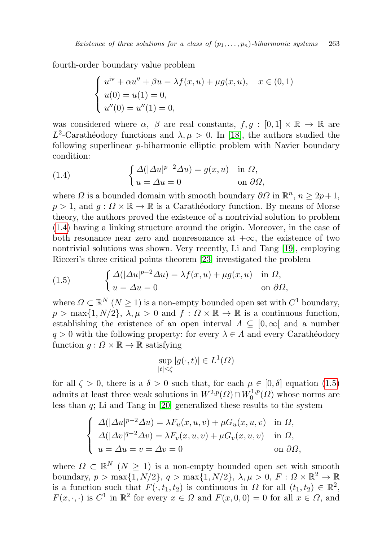fourth-order boundary value problem

$$
\begin{cases}\nu^{iv} + \alpha u'' + \beta u = \lambda f(x, u) + \mu g(x, u), & x \in (0, 1) \\
u(0) = u(1) = 0, \\
u''(0) = u''(1) = 0,\n\end{cases}
$$

was considered where  $\alpha$ ,  $\beta$  are real constants,  $f, g : [0, 1] \times \mathbb{R} \to \mathbb{R}$  are  $L^2$ -Carathéodory functions and  $\lambda, \mu > 0$ . In [\[18\]](#page-15-7), the authors studied the following superlinear p-biharmonic elliptic problem with Navier boundary condition:

<span id="page-2-0"></span>(1.4) 
$$
\begin{cases} \Delta(|\Delta u|^{p-2}\Delta u) = g(x,u) & \text{in } \Omega, \\ u = \Delta u = 0 & \text{on } \partial\Omega, \end{cases}
$$

where  $\Omega$  is a bounded domain with smooth boundary  $\partial\Omega$  in  $\mathbb{R}^n$ ,  $n \geq 2p+1$ ,  $p > 1$ , and  $q : \Omega \times \mathbb{R} \to \mathbb{R}$  is a Carathéodory function. By means of Morse theory, the authors proved the existence of a nontrivial solution to problem [\(1.4\)](#page-2-0) having a linking structure around the origin. Moreover, in the case of both resonance near zero and nonresonance at  $+\infty$ , the existence of two nontrivial solutions was shown. Very recently, Li and Tang [\[19\]](#page-15-8), employing Ricceri's three critical points theorem [\[23\]](#page-16-0) investigated the problem

<span id="page-2-1"></span>(1.5) 
$$
\begin{cases} \Delta(|\Delta u|^{p-2}\Delta u) = \lambda f(x,u) + \mu g(x,u) & \text{in } \Omega, \\ u = \Delta u = 0 & \text{on } \partial \Omega, \end{cases}
$$

where  $\Omega \subset \mathbb{R}^N$   $(N \geq 1)$  is a non-empty bounded open set with  $C^1$  boundary,  $p > \max\{1, N/2\}, \lambda, \mu > 0$  and  $f : \Omega \times \mathbb{R} \to \mathbb{R}$  is a continuous function, establishing the existence of an open interval  $\Lambda \subseteq [0,\infty]$  and a number  $q > 0$  with the following property: for every  $\lambda \in \Lambda$  and every Carathéodory function  $g : \Omega \times \mathbb{R} \to \mathbb{R}$  satisfying

$$
\sup_{|t| \le \zeta} |g(\cdot, t)| \in L^1(\Omega)
$$

for all  $\zeta > 0$ , there is a  $\delta > 0$  such that, for each  $\mu \in [0, \delta]$  equation [\(1.5\)](#page-2-1) admits at least three weak solutions in  $W^{2,p}(\Omega) \cap W^{1,p}_0$  $L_0^{1,p}(\Omega)$  whose norms are less than q; Li and Tang in [\[20\]](#page-15-9) generalized these results to the system

$$
\begin{cases}\n\Delta(|\Delta u|^{p-2}\Delta u) = \lambda F_u(x, u, v) + \mu G_u(x, u, v) & \text{in } \Omega, \\
\Delta(|\Delta v|^{q-2}\Delta v) = \lambda F_v(x, u, v) + \mu G_v(x, u, v) & \text{in } \Omega, \\
u = \Delta u = v = \Delta v = 0 & \text{on } \partial \Omega,\n\end{cases}
$$

where  $\Omega \subset \mathbb{R}^N$   $(N \geq 1)$  is a non-empty bounded open set with smooth boundary,  $p > \max\{1, N/2\}$ ,  $q > \max\{1, N/2\}$ ,  $\lambda, \mu > 0$ ,  $F : \Omega \times \mathbb{R}^2 \to \mathbb{R}$ is a function such that  $F(\cdot, t_1, t_2)$  is continuous in  $\Omega$  for all  $(t_1, t_2) \in \mathbb{R}^2$ ,  $F(x, \cdot, \cdot)$  is  $C^1$  in  $\mathbb{R}^2$  for every  $x \in \Omega$  and  $F(x, 0, 0) = 0$  for all  $x \in \Omega$ , and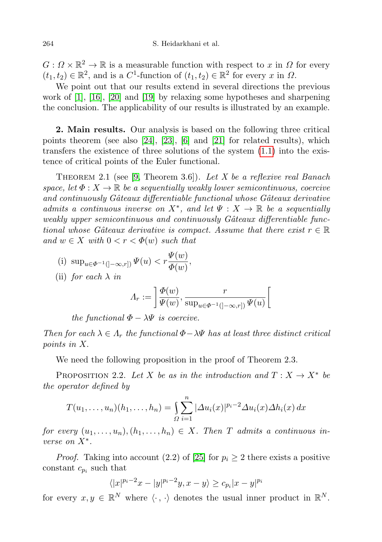$G: \Omega \times \mathbb{R}^2 \to \mathbb{R}$  is a measurable function with respect to x in  $\Omega$  for every  $(t_1, t_2) \in \mathbb{R}^2$ , and is a  $C^1$ -function of  $(t_1, t_2) \in \mathbb{R}^2$  for every x in  $\Omega$ .

We point out that our results extend in several directions the previous work of [\[1\]](#page-15-6), [\[16\]](#page-15-10), [\[20\]](#page-15-9) and [\[19\]](#page-15-8) by relaxing some hypotheses and sharpening the conclusion. The applicability of our results is illustrated by an example.

2. Main results. Our analysis is based on the following three critical points theorem (see also [\[24\]](#page-16-1), [\[23\]](#page-16-0), [\[6\]](#page-15-11) and [\[21\]](#page-16-2) for related results), which transfers the existence of three solutions of the system [\(1.1\)](#page-0-0) into the existence of critical points of the Euler functional.

THEOREM 2.1 (see [\[9,](#page-15-12) Theorem 3.6]). Let X be a reflexive real Banach space, let  $\Phi: X \to \mathbb{R}$  be a sequentially weakly lower semicontinuous, coercive and continuously Gâteaux differentiable functional whose Gâteaux derivative admits a continuous inverse on  $X^*$ , and let  $\Psi : X \to \mathbb{R}$  be a sequentially weakly upper semicontinuous and continuously Gâteaux differentiable functional whose Gâteaux derivative is compact. Assume that there exist  $r \in \mathbb{R}$ and  $w \in X$  with  $0 < r < \Phi(w)$  such that

(i) sup<sub>$$
u \in \Phi^{-1}([-\infty,r])
$$</sub>  $\Psi(u) < r \frac{\Psi(w)}{\Phi(w)},$ 

(ii) for each  $\lambda$  in

$$
\Lambda_r := \left[ \frac{\Phi(w)}{\Psi(w)}, \frac{r}{\sup_{u \in \Phi^{-1}(]-\infty, r])} \Psi(u)} \right[
$$

the functional  $\Phi - \lambda \Psi$  is coercive.

Then for each  $\lambda \in \Lambda_r$  the functional  $\Phi - \lambda \Psi$  has at least three distinct critical points in X.

We need the following proposition in the proof of Theorem 2.3.

PROPOSITION 2.2. Let X be as in the introduction and  $T: X \to X^*$  be the operator defined by

$$
T(u_1,\ldots,u_n)(h_1,\ldots,h_n)=\int_{\Omega}\sum_{i=1}^n|\Delta u_i(x)|^{p_i-2}\Delta u_i(x)\Delta h_i(x)\,dx
$$

for every  $(u_1, \ldots, u_n), (h_1, \ldots, h_n) \in X$ . Then T admits a continuous inverse on  $X^*$ .

*Proof.* Taking into account (2.2) of [\[25\]](#page-16-3) for  $p_i \geq 2$  there exists a positive constant  $c_{p_i}$  such that

$$
\langle |x|^{p_i-2}x - |y|^{p_i-2}y, x - y \rangle \ge c_{p_i}|x - y|^{p_i}
$$

for every  $x, y \in \mathbb{R}^N$  where  $\langle \cdot, \cdot \rangle$  denotes the usual inner product in  $\mathbb{R}^N$ .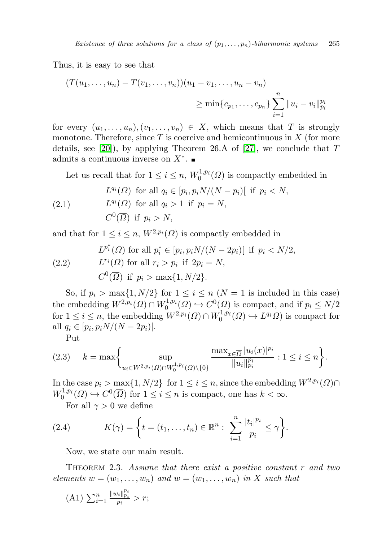Thus, it is easy to see that

$$
(T(u_1, ..., u_n) - T(v_1, ..., v_n))(u_1 - v_1, ..., u_n - v_n)
$$
  
\n
$$
\geq \min\{c_{p_1}, ..., c_{p_n}\}\sum_{i=1}^n ||u_i - v_i||_{p_i}^{p_i}
$$

for every  $(u_1, \ldots, u_n), (v_1, \ldots, v_n) \in X$ , which means that T is strongly monotone. Therefore, since  $T$  is coercive and hemicontinuous in  $X$  (for more details, see [\[20\]](#page-15-9)), by applying Theorem 26.A of [\[27\]](#page-16-4), we conclude that  $T$ admits a continuous inverse on  $X^*$ .

<span id="page-4-1"></span>Let us recall that for  $1 \leq i \leq n$ ,  $W_0^{1,p_i}(\Omega)$  is compactly embedded in

(2.1) 
$$
L^{q_i}(\Omega) \text{ for all } q_i \in [p_i, p_i N/(N - p_i)] \text{ if } p_i < N,
$$

$$
L^{q_i}(\Omega) \text{ for all } q_i > 1 \text{ if } p_i = N,
$$

$$
C^0(\overline{\Omega}) \text{ if } p_i > N,
$$

and that for  $1 \leq i \leq n$ ,  $W^{2,p_i}(\Omega)$  is compactly embedded in

<span id="page-4-2"></span>(2.2) 
$$
L^{p_i^*}(\Omega) \text{ for all } p_i^* \in [p_i, p_i N/(N-2p_i)] \text{ if } p_i < N/2,
$$

$$
L^{r_i}(\Omega) \text{ for all } r_i > p_i \text{ if } 2p_i = N,
$$

$$
C^0(\overline{\Omega}) \text{ if } p_i > \max\{1, N/2\}.
$$

So, if  $p_i > \max\{1, N/2\}$  for  $1 \leq i \leq n \ (N = 1 \text{ is included in this case})$ the embedding  $W^{2,p_i}(\Omega) \cap W_0^{1,p_i}(\Omega) \hookrightarrow C^0(\overline{\Omega})$  is compact, and if  $p_i \leq N/2$ for  $1 \leq i \leq n$ , the embedding  $W^{2,p_i}(\Omega) \cap W_0^{1,p_i}(\Omega) \hookrightarrow L^{q_i} \Omega$  is compact for all  $q_i \in [p_i, p_i N/(N-2p_i)]$ .

<span id="page-4-0"></span>Put

$$
(2.3) \t k = \max \bigg\{ \sup_{u_i \in W^{2, p_i}(Q) \cap W_0^{1, p_i}(Q) \backslash \{0\}} \frac{\max_{x \in \overline{\Omega}} |u_i(x)|^{p_i}}{\|u_i\|_{p_i}^{p_i}} : 1 \le i \le n \bigg\}.
$$

In the case  $p_i > \max\{1, N/2\}$  for  $1 \leq i \leq n$ , since the embedding  $W^{2,p_i}(\Omega) \cap$  $W_0^{1,p_i}(\Omega) \hookrightarrow C^0(\overline{\Omega})$  for  $1 \leq i \leq n$  is compact, one has  $k < \infty$ .

For all  $\gamma > 0$  we define

(2.4) 
$$
K(\gamma) = \left\{ t = (t_1, \ldots, t_n) \in \mathbb{R}^n : \sum_{i=1}^n \frac{|t_i|^{p_i}}{p_i} \leq \gamma \right\}.
$$

Now, we state our main result.

THEOREM 2.3. Assume that there exist a positive constant  $r$  and two elements  $w = (w_1, \ldots, w_n)$  and  $\overline{w} = (\overline{w}_1, \ldots, \overline{w}_n)$  in X such that

$$
(A1) \sum_{i=1}^n \frac{\|w_i\|_{p_i}^{p_i}}{p_i} > r;
$$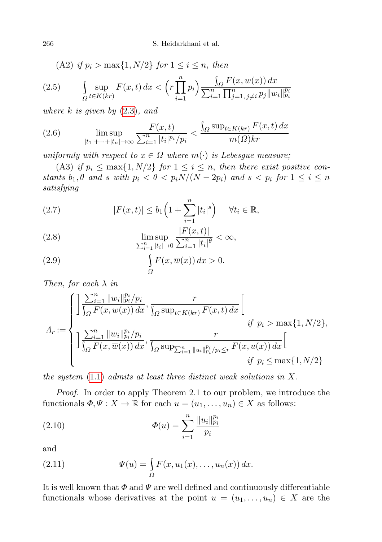266 S. Heidarkhani et al.

<span id="page-5-1"></span>(A2) if 
$$
p_i > \max\{1, N/2\}
$$
 for  $1 \le i \le n$ , then  
\n(2.5) 
$$
\int_{\Omega} \sup_{t \in K(kr)} F(x, t) dx < \left(r \prod_{i=1}^{n} p_i\right) \frac{\int_{\Omega} F(x, w(x)) dx}{\sum_{i=1}^{n} \prod_{j=1, j \neq i}^{n} p_j ||w_i||_{p_i}^{p_i}}
$$

where  $k$  is given by  $(2.3)$ , and

<span id="page-5-2"></span>(2.6) 
$$
\limsup_{|t_1|+\dots+|t_n| \to \infty} \frac{F(x,t)}{\sum_{i=1}^n |t_i|^{p_i}/p_i} < \frac{\int_{\Omega} \sup_{t \in K(kr)} F(x,t) \, dx}{m(\Omega)kr}
$$

uniformly with respect to  $x \in \Omega$  where  $m(\cdot)$  is Lebesgue measure;

(A3) if  $p_i \le \max\{1, N/2\}$  for  $1 \le i \le n$ , then there exist positive constants  $b_1, \theta$  and s with  $p_i < \theta < p_i N/(N - 2p_i)$  and  $s < p_i$  for  $1 \leq i \leq n$ satisfying

<span id="page-5-4"></span>(2.7) 
$$
|F(x,t)| \leq b_1 \left(1 + \sum_{i=1}^n |t_i|^s\right) \quad \forall t_i \in \mathbb{R},
$$

<span id="page-5-3"></span>(2.8) 
$$
\limsup_{\sum_{i=1}^{n} |t_i| \to 0} \frac{|F(x,t)|}{\sum_{i=1}^{n} |t_i|^{\theta}} < \infty,
$$

<span id="page-5-5"></span>(2.9) 
$$
\int_{\Omega} F(x,\overline{w}(x)) dx > 0.
$$

Then, for each  $\lambda$  in

$$
\Lambda_r := \begin{cases}\n\frac{\sum_{i=1}^n \|w_i\|_{p_i}^{p_i}/p_i}{\int_{\Omega} F(x, w(x)) dx}, \frac{r}{\int_{\Omega} \sup_{t \in K(kr)} F(x, t) dx} \left[\n\frac{r}{\int_{\Omega} \sum_{i=1}^n \|\overline{w}_i\|_{p_i}^{p_i}/p_i}}\n\frac{r}{\int_{\Omega} \sum_{i=1}^n \|\overline{w}_i\|_{p_i}^{p_i}/p_i}, \frac{r}{\int_{\Omega} \sup_{t \in [0, T]} \sum_{i=1}^n \|u_i\|_{p_i}^{p_i}/p_i} \leq r}{\int_{\Omega} \sum_{i=1}^n \|\overline{w}_i\|_{p_i}^{p_i}/p_i}.\n\end{cases}
$$

the system  $(1.1)$  admits at least three distinct weak solutions in X.

Proof. In order to apply Theorem 2.1 to our problem, we introduce the functionals  $\Phi, \Psi : X \to \mathbb{R}$  for each  $u = (u_1, \dots, u_n) \in X$  as follows:

<span id="page-5-0"></span>(2.10) 
$$
\Phi(u) = \sum_{i=1}^{n} \frac{||u_i||_{p_i}^{p_i}}{p_i}
$$

and

(2.11) 
$$
\Psi(u) = \int_{\Omega} F(x, u_1(x), \dots, u_n(x)) dx.
$$

It is well known that  $\Phi$  and  $\Psi$  are well defined and continuously differentiable functionals whose derivatives at the point  $u = (u_1, \ldots, u_n) \in X$  are the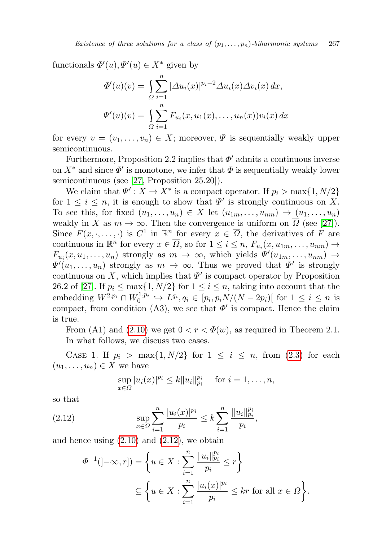functionals  $\Phi'(u), \Psi'(u) \in X^*$  given by

$$
\Phi'(u)(v) = \int_{\Omega} \sum_{i=1}^{n} |\Delta u_i(x)|^{p_i-2} \Delta u_i(x) \Delta v_i(x) dx,
$$
  

$$
\Psi'(u)(v) = \int_{\Omega} \sum_{i=1}^{n} F_{u_i}(x, u_1(x), \dots, u_n(x)) v_i(x) dx
$$

for every  $v = (v_1, \ldots, v_n) \in X$ ; moreover,  $\Psi$  is sequentially weakly upper semicontinuous.

Furthermore, Proposition 2.2 implies that  $\Phi'$  admits a continuous inverse on  $X^*$  and since  $\Phi'$  is monotone, we infer that  $\Phi$  is sequentially weakly lower semicontinuous (see [\[27,](#page-16-4) Proposition 25.20]).

We claim that  $\Psi' : X \to X^*$  is a compact operator. If  $p_i > \max\{1, N/2\}$ for  $1 \leq i \leq n$ , it is enough to show that  $\Psi'$  is strongly continuous on X. To see this, for fixed  $(u_1, \ldots, u_n) \in X$  let  $(u_{1m}, \ldots, u_{nm}) \to (u_1, \ldots, u_n)$ weakly in X as  $m \to \infty$ . Then the convergence is uniform on  $\overline{\Omega}$  (see [\[27\]](#page-16-4)). Since  $F(x, \cdot, \ldots, \cdot)$  is  $C^1$  in  $\mathbb{R}^n$  for every  $x \in \overline{\Omega}$ , the derivatives of  $F$  are continuous in  $\mathbb{R}^n$  for every  $x \in \overline{\Omega}$ , so for  $1 \leq i \leq n$ ,  $F_{u_i}(x, u_{1m}, \ldots, u_{nm}) \rightarrow$  $F_{u_i}(x, u_1, \ldots, u_n)$  strongly as  $m \to \infty$ , which yields  $\Psi'(u_{1m}, \ldots, u_{nm}) \to$  $\Psi'(u_1,\ldots,u_n)$  strongly as  $m \to \infty$ . Thus we proved that  $\Psi'$  is strongly continuous on X, which implies that  $\Psi'$  is compact operator by Proposition 26.2 of [\[27\]](#page-16-4). If  $p_i \n\t\leq \max\{1, N/2\}$  for  $1 \leq i \leq n$ , taking into account that the embedding  $W^{2,p_i} \cap W_0^{1,p_i} \hookrightarrow L^{q_i}, q_i \in [p_i, p_i N/(N-2p_i)]$  for  $1 \leq i \leq n$  is compact, from condition (A3), we see that  $\Phi'$  is compact. Hence the claim is true.

From (A1) and [\(2.10\)](#page-5-0) we get  $0 < r < \Phi(w)$ , as required in Theorem 2.1. In what follows, we discuss two cases.

CASE 1. If  $p_i > \max\{1, N/2\}$  for  $1 \leq i \leq n$ , from [\(2.3\)](#page-4-0) for each  $(u_1, \ldots, u_n) \in X$  we have

<span id="page-6-0"></span>
$$
\sup_{x \in \Omega} |u_i(x)|^{p_i} \le k \|u_i\|_{p_i}^{p_i} \quad \text{ for } i = 1, \dots, n,
$$

so that

(2.12) 
$$
\sup_{x \in \Omega} \sum_{i=1}^{n} \frac{|u_i(x)|^{p_i}}{p_i} \le k \sum_{i=1}^{n} \frac{||u_i||_{p_i}^{p_i}}{p_i},
$$

and hence using  $(2.10)$  and  $(2.12)$ , we obtain

$$
\Phi^{-1}(\left]-\infty,r\right]) = \left\{ u \in X : \sum_{i=1}^{n} \frac{||u_i||_{p_i}^{p_i}}{p_i} \le r \right\}
$$

$$
\subseteq \left\{ u \in X : \sum_{i=1}^{n} \frac{|u_i(x)|^{p_i}}{p_i} \le kr \text{ for all } x \in \Omega \right\}.
$$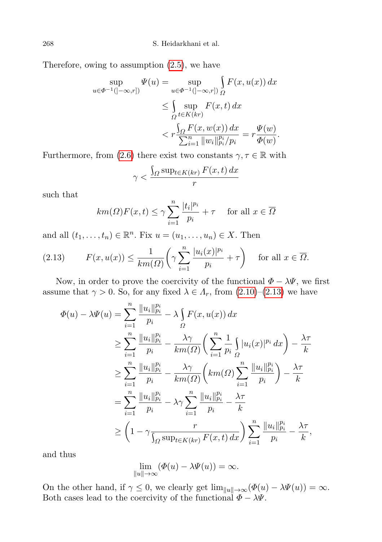Therefore, owing to assumption [\(2.5\)](#page-5-1), we have

$$
\sup_{u \in \Phi^{-1}(]-\infty, r]} \Psi(u) = \sup_{u \in \Phi^{-1}(]-\infty, r]} \int_{\Omega} F(x, u(x)) dx
$$
  
\n
$$
\leq \int_{\Omega} \sup_{t \in K(kr)} F(x, t) dx
$$
  
\n
$$
< r \frac{\int_{\Omega} F(x, w(x)) dx}{\sum_{i=1}^{n} ||w_i||_{p_i}^{p_i}/p_i} = r \frac{\Psi(w)}{\Phi(w)}.
$$

Furthermore, from [\(2.6\)](#page-5-2) there exist two constants  $\gamma, \tau \in \mathbb{R}$  with

$$
\gamma < \frac{\int_{\Omega} \sup_{t \in K(kr)} F(x, t) \, dx}{r}
$$

such that

$$
km(\Omega)F(x,t) \le \gamma \sum_{i=1}^{n} \frac{|t_i|^{p_i}}{p_i} + \tau \quad \text{ for all } x \in \overline{\Omega}
$$

and all  $(t_1, \ldots, t_n) \in \mathbb{R}^n$ . Fix  $u = (u_1, \ldots, u_n) \in X$ . Then

<span id="page-7-0"></span>(2.13) 
$$
F(x, u(x)) \le \frac{1}{km(\Omega)} \left( \gamma \sum_{i=1}^{n} \frac{|u_i(x)|^{p_i}}{p_i} + \tau \right) \quad \text{for all } x \in \overline{\Omega}.
$$

Now, in order to prove the coercivity of the functional  $\Phi - \lambda \Psi$ , we first assume that  $\gamma > 0$ . So, for any fixed  $\lambda \in \Lambda_r$ , from  $(2.10)$ – $(2.13)$  we have

$$
\Phi(u) - \lambda \Psi(u) = \sum_{i=1}^{n} \frac{||u_i||_{p_i}^{p_i}}{p_i} - \lambda \int_{\Omega} F(x, u(x)) dx
$$
  
\n
$$
\geq \sum_{i=1}^{n} \frac{||u_i||_{p_i}^{p_i}}{p_i} - \frac{\lambda \gamma}{km(\Omega)} \left( \sum_{i=1}^{n} \frac{1}{p_i} \int_{\Omega} |u_i(x)|^{p_i} dx \right) - \frac{\lambda \tau}{k}
$$
  
\n
$$
\geq \sum_{i=1}^{n} \frac{||u_i||_{p_i}^{p_i}}{p_i} - \frac{\lambda \gamma}{km(\Omega)} \left( km(\Omega) \sum_{i=1}^{n} \frac{||u_i||_{p_i}^{p_i}}{p_i} \right) - \frac{\lambda \tau}{k}
$$
  
\n
$$
= \sum_{i=1}^{n} \frac{||u_i||_{p_i}^{p_i}}{p_i} - \lambda \gamma \sum_{i=1}^{n} \frac{||u_i||_{p_i}^{p_i}}{p_i} - \frac{\lambda \tau}{k}
$$
  
\n
$$
\geq \left(1 - \gamma \frac{r}{\int_{\Omega} \sup_{t \in K(kr)} F(x, t) dx} \right) \sum_{i=1}^{n} \frac{||u_i||_{p_i}^{p_i}}{p_i} - \frac{\lambda \tau}{k},
$$

and thus

$$
\lim_{\|u\| \to \infty} (\Phi(u) - \lambda \Psi(u)) = \infty.
$$

On the other hand, if  $\gamma \leq 0$ , we clearly get  $\lim_{\|u\| \to \infty} (\Phi(u) - \lambda \Psi(u)) = \infty$ . Both cases lead to the coercivity of the functional  $\Phi - \lambda \Psi$ .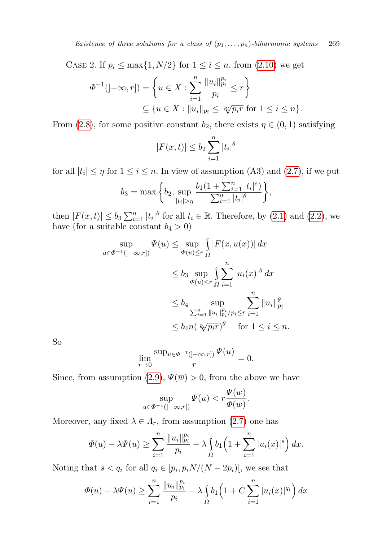CASE 2. If  $p_i \n\t\leq \max\{1, N/2\}$  for  $1 \leq i \leq n$ , from [\(2.10\)](#page-5-0) we get

$$
\Phi^{-1}(-\infty, r]) = \left\{ u \in X : \sum_{i=1}^{n} \frac{||u_i||_{p_i}^{p_i}}{p_i} \le r \right\}
$$
  

$$
\subseteq \{ u \in X : ||u_i||_{p_i} \le \sqrt[p_i]{p_i r} \text{ for } 1 \le i \le n \}.
$$

From [\(2.8\)](#page-5-3), for some positive constant  $b_2$ , there exists  $\eta \in (0,1)$  satisfying

$$
|F(x,t)| \le b_2 \sum_{i=1}^n |t_i|^{\theta}
$$

for all  $|t_i| \leq \eta$  for  $1 \leq i \leq n$ . In view of assumption (A3) and [\(2.7\)](#page-5-4), if we put

$$
b_3 = \max\bigg\{b_2, \sup_{|t_i| > \eta} \frac{b_1(1 + \sum_{i=1}^n |t_i|^s)}{\sum_{i=1}^n |t_i|^{\theta}}\bigg\},\,
$$

then  $|F(x,t)| \leq b_3 \sum_{i=1}^n |t_i|^\theta$  for all  $t_i \in \mathbb{R}$ . Therefore, by [\(2.1\)](#page-4-1) and [\(2.2\)](#page-4-2), we have (for a suitable constant  $b_4 > 0$ )

$$
\sup_{u \in \Phi^{-1}(]-\infty, r]} \Psi(u) \le \sup_{\Phi(u) \le r} \int_{\Omega} |F(x, u(x))| dx
$$
  

$$
\le b_3 \sup_{\Phi(u) \le r} \int_{\Omega} \sum_{i=1}^n |u_i(x)|^{\theta} dx
$$
  

$$
\le b_4 \sup_{\sum_{i=1}^n \|u_i\|_{p_i}^{p_i}/p_i \le r} \sum_{i=1}^n \|u_i\|_{p_i}^{\theta}
$$
  

$$
\le b_4 n (\sqrt[p_i p_i r})^{\theta} \quad \text{for } 1 \le i \le n.
$$

So

$$
\lim_{r \to 0} \frac{\sup_{u \in \Phi^{-1}(\left]-\infty, r\right]} \Psi(u)}{r} = 0.
$$

Since, from assumption [\(2.9\)](#page-5-5),  $\Psi(\overline{w}) > 0$ , from the above we have

$$
\sup_{u \in \Phi^{-1}(]-\infty, r])} \Psi(u) < r \frac{\Psi(\overline{w})}{\Phi(\overline{w})}.
$$

Moreover, any fixed  $\lambda \in \Lambda_r$ , from assumption [\(2.7\)](#page-5-4) one has

$$
\Phi(u) - \lambda \Psi(u) \ge \sum_{i=1}^n \frac{\|u_i\|_{p_i}^{p_i}}{p_i} - \lambda \int_{\Omega} b_1 \left(1 + \sum_{i=1}^n |u_i(x)|^s \right) dx.
$$

Noting that  $s < q_i$  for all  $q_i \in [p_i, p_i N/(N - 2p_i)]$ , we see that

$$
\Phi(u) - \lambda \Psi(u) \ge \sum_{i=1}^n \frac{\|u_i\|_{p_i}^{p_i}}{p_i} - \lambda \int_{\Omega} b_1 \left(1 + C \sum_{i=1}^n |u_i(x)|^{q_i}\right) dx
$$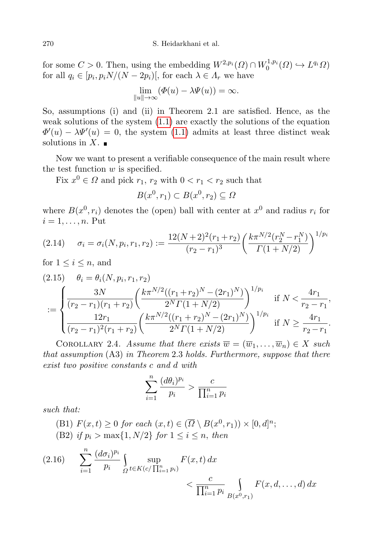for some  $C > 0$ . Then, using the embedding  $W^{2,p_i}(\Omega) \cap W_0^{1,p_i}(\Omega) \hookrightarrow L^{q_i} \Omega$ for all  $q_i \in [p_i, p_i N/(N-2p_i)],$  for each  $\lambda \in \Lambda_r$  we have

$$
\lim_{\|u\| \to \infty} (\Phi(u) - \lambda \Psi(u)) = \infty.
$$

So, assumptions (i) and (ii) in Theorem 2.1 are satisfied. Hence, as the weak solutions of the system  $(1.1)$  are exactly the solutions of the equation  $\Phi'(u) - \lambda \Psi'(u) = 0$ , the system [\(1.1\)](#page-0-0) admits at least three distinct weak solutions in  $X$ .

Now we want to present a verifiable consequence of the main result where the test function  $w$  is specified.

Fix  $x^0 \in \Omega$  and pick  $r_1, r_2$  with  $0 < r_1 < r_2$  such that

$$
B(x^0, r_1) \subset B(x^0, r_2) \subseteq \Omega
$$

where  $B(x^0, r_i)$  denotes the (open) ball with center at  $x^0$  and radius  $r_i$  for  $i = 1, \ldots, n$ . Put

<span id="page-9-0"></span>
$$
(2.14) \quad \sigma_i = \sigma_i(N, p_i, r_1, r_2) := \frac{12(N+2)^2(r_1+r_2)}{(r_2-r_1)^3} \left(\frac{k\pi^{N/2}(r_2^N-r_1^N)}{\Gamma(1+N/2)}\right)^{1/p_i}
$$

for  $1 \leq i \leq n$ , and

<span id="page-9-1"></span>
$$
(2.15) \quad \theta_i = \theta_i(N, p_i, r_1, r_2)
$$
\n
$$
:= \begin{cases}\n\frac{3N}{(r_2 - r_1)(r_1 + r_2)} \left(\frac{k\pi^{N/2}((r_1 + r_2)^N - (2r_1)^N)}{2^N \Gamma(1 + N/2)}\right)^{1/p_i} & \text{if } N < \frac{4r_1}{r_2 - r_1}, \\
\frac{12r_1}{(r_2 - r_1)^2 (r_1 + r_2)} \left(\frac{k\pi^{N/2}((r_1 + r_2)^N - (2r_1)^N)}{2^N \Gamma(1 + N/2)}\right)^{1/p_i} & \text{if } N \ge \frac{4r_1}{r_2 - r_1}.\n\end{cases}
$$

COROLLARY 2.4. Assume that there exists  $\overline{w} = (\overline{w}_1, \ldots, \overline{w}_n) \in X$  such that assumption (A3) in Theorem 2.3 holds. Furthermore, suppose that there exist two positive constants c and d with

$$
\sum_{i=1}^{n} \frac{(d\theta_i)^{p_i}}{p_i} > \frac{c}{\prod_{i=1}^{n} p_i}
$$

such that:

(B1)  $F(x,t) \ge 0$  for each  $(x,t) \in (\overline{\Omega} \setminus B(x^0,r_1)) \times [0,d]^n$ ; (B2) if  $p_i > \max\{1, N/2\}$  for  $1 \leq i \leq n$ , then

<span id="page-9-2"></span>
$$
(2.16) \qquad \sum_{i=1}^{n} \frac{(d\sigma_i)^{p_i}}{p_i} \int_{\Omega} \sup_{t \in K(c/\prod_{i=1}^{n} p_i)} F(x,t) \, dx \\ & < \frac{c}{\prod_{i=1}^{n} p_i} \int_{B(x^0, r_1)} F(x, d, \dots, d) \, dx
$$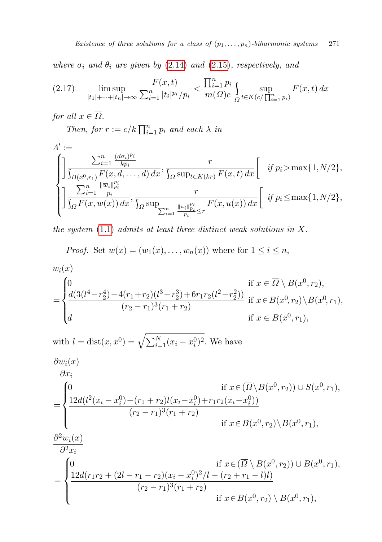where  $\sigma_i$  and  $\theta_i$  are given by [\(2.14\)](#page-9-0) and [\(2.15\)](#page-9-1), respectively, and

<span id="page-10-0"></span>
$$
(2.17) \qquad \limsup_{|t_1|+\dots+|t_n| \to \infty} \frac{F(x,t)}{\sum_{i=1}^n |t_i|^{p_i}/p_i} < \frac{\prod_{i=1}^n p_i}{m(\Omega)c} \int_{\Omega} \sup_{t \in K(c/\prod_{i=1}^n p_i)} F(x,t) \, dx
$$

for all  $x \in \overline{\Omega}$ .

Then, for  $r := c/k \prod_{i=1}^{n} p_i$  and each  $\lambda$  in

$$
\Lambda' := \n\begin{cases}\n\frac{\sum_{i=1}^{n} \frac{(d\sigma_i)^{p_i}}{kp_i}}{\int_{B(x^0,r_1)} F(x,d,\ldots,d) dx}, \frac{r}{\int_{\Omega} \sup_{t \in K(kr)} F(x,t) dx} \left[ \quad \text{if } p_i > \max\{1, N/2\}, \right] \\
\frac{\sum_{i=1}^{n} \frac{\|\overline{w}_i\|_{p_i}^{p_i}}{p_i}}{\int_{\Omega} F(x, \overline{w}(x)) dx}, \frac{r}{\int_{\Omega} \sup_{t \in [1, \infty, \infty]} \frac{\|u_i\|_{p_i}^{p_i}}{p_i}} \frac{r}{F(x, u(x)) dx} \left[ \quad \text{if } p_i \leq \max\{1, N/2\}, \right]\n\end{cases}
$$

the system  $(1.1)$  admits at least three distinct weak solutions in X.

*Proof.* Set 
$$
w(x) = (w_1(x), \ldots, w_n(x))
$$
 where for  $1 \leq i \leq n$ ,

$$
w_i(x)
$$
  
= 
$$
\begin{cases} 0 & \text{if } x \in \overline{\Omega} \setminus B(x^0, r_2), \\ \frac{d(3(l^4 - r_2^4) - 4(r_1 + r_2)(l^3 - r_2^3) + 6r_1r_2(l^2 - r_2^2))}{(r_2 - r_1)^3(r_1 + r_2)} & \text{if } x \in B(x^0, r_2) \setminus B(x^0, r_1), \\ d & \text{if } x \in B(x^0, r_1), \end{cases}
$$

with 
$$
l = \text{dist}(x, x^0) = \sqrt{\sum_{i=1}^N (x_i - x_i^0)^2}
$$
. We have  
\n
$$
\frac{\partial w_i(x)}{\partial x_i}
$$
\n
$$
= \begin{cases}\n0 & \text{if } x \in (\overline{\Omega} \setminus B(x^0, r_2)) \cup S(x^0, r_1), \\
\frac{12d(l^2(x_i - x_i^0) - (r_1 + r_2)l(x_i - x_i^0) + r_1r_2(x_i - x_i^0))}{(r_2 - r_1)^3(r_1 + r_2)} \\
\text{if } x \in B(x^0, r_2) \setminus B(x^0, r_1), \\
\frac{\partial^2 w_i(x)}{\partial^2 x_i}\n\end{cases}
$$

$$
= \begin{cases} 0 & \text{if } x \in (\overline{\Omega} \setminus B(x^0, r_2)) \cup B(x^0, r_1), \\ \frac{12d(r_1r_2 + (2l - r_1 - r_2)(x_i - x_i^0)^2/l - (r_2 + r_1 - l)l)}{(r_2 - r_1)^3(r_1 + r_2)} & \text{if } x \in B(x^0, r_2) \setminus B(x^0, r_1), \end{cases}
$$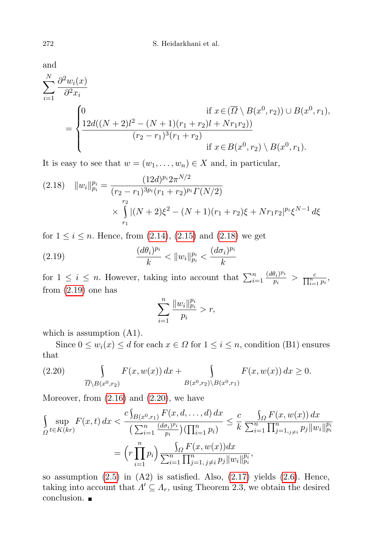and

$$
\sum_{i=1}^{N} \frac{\partial^2 w_i(x)}{\partial^2 x_i}
$$
\n
$$
= \begin{cases}\n0 & \text{if } x \in (\overline{\Omega} \setminus B(x^0, r_2)) \cup B(x^0, r_1), \\
\frac{12d((N+2)l^2 - (N+1)(r_1+r_2)l + Nr_1r_2))}{(r_2-r_1)^3(r_1+r_2)} & \text{if } x \in B(x^0, r_2) \setminus B(x^0, r_1).\n\end{cases}
$$

It is easy to see that  $w = (w_1, \ldots, w_n) \in X$  and, in particular,

<span id="page-11-0"></span>
$$
(2.18) \quad ||w_i||_{p_i}^{p_i} = \frac{(12d)^{p_i} 2\pi^{N/2}}{(r_2 - r_1)^{3p_i} (r_1 + r_2)^{p_i} \Gamma(N/2)}
$$

$$
\times \int_{r_1}^{r_2} |(N+2)\xi^2 - (N+1)(r_1 + r_2)\xi + N r_1 r_2|^{p_i} \xi^{N-1} d\xi
$$

for  $1 \le i \le n$ . Hence, from  $(2.14)$ ,  $(2.15)$  and  $(2.18)$  we get

(2.19) 
$$
\frac{(d\theta_i)^{p_i}}{k} < ||w_i||_{p_i}^{p_i} < \frac{(d\sigma_i)^{p_i}}{k}
$$

for  $1 \leq i \leq n$ . However, taking into account that  $\sum_{i=1}^{n} \frac{(d\theta_i)^{p_i}}{p_i}$  $\frac{\theta_i)^{p_i}}{p_i} > \frac{c}{\prod_{i=1}^n p_i},$ from  $(2.19)$  one has

<span id="page-11-1"></span>
$$
\sum_{i=1}^{n} \frac{\|w_i\|_{p_i}^{p_i}}{p_i} > r,
$$

which is assumption  $(A1)$ .

Since  $0 \leq w_i(x) \leq d$  for each  $x \in \Omega$  for  $1 \leq i \leq n$ , condition (B1) ensures that

<span id="page-11-2"></span>(2.20) 
$$
\int_{\overline{\Omega} \setminus B(x^0, r_2)} F(x, w(x)) dx + \int_{B(x^0, r_2) \setminus B(x^0, r_1)} F(x, w(x)) dx \ge 0.
$$

Moreover, from  $(2.16)$  and  $(2.20)$ , we have

$$
\int_{\Omega} \sup_{t \in K(kr)} F(x, t) dx < \frac{c \int_{B(x^0, r_1)} F(x, d, \dots, d) dx}{\left(\sum_{i=1}^n \frac{(d\sigma_i)^{p_i}}{p_i}\right) \left(\prod_{i=1}^n p_i\right)} \leq \frac{c}{k} \frac{\int_{\Omega} F(x, w(x)) dx}{\sum_{i=1}^n \prod_{j=1, j \neq i}^n p_j ||w_i||_{p_i}^{p_i}}
$$
\n
$$
= \left(r \prod_{i=1}^n p_i\right) \frac{\int_{\Omega} F(x, w(x)) dx}{\sum_{i=1}^n \prod_{j=1, j \neq i}^n p_j ||w_i||_{p_i}^{p_i}},
$$

so assumption  $(2.5)$  in  $(A2)$  is satisfied. Also,  $(2.17)$  yields  $(2.6)$ . Hence, taking into account that  $\Lambda' \subseteq \Lambda_r$ , using Theorem 2.3, we obtain the desired conclusion.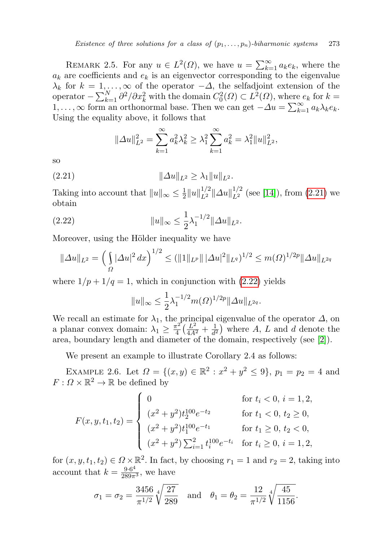REMARK 2.5. For any  $u \in L^2(\Omega)$ , we have  $u = \sum_{k=1}^{\infty} a_k e_k$ , where the  $a_k$  are coefficients and  $e_k$  is an eigenvector corresponding to the eigenvalue  $\lambda_k$  for  $k = 1, \ldots, \infty$  of the operator  $-\Delta$ , the selfadjoint extension of the operator  $-\sum_{k=1}^{N} \frac{\partial^2}{\partial x_k^2}$  with the domain  $C_0^2(\Omega) \subset L^2(\Omega)$ , where  $e_k$  for  $k=$ 1, ..., ∞ form an orthonormal base. Then we can get  $-\Delta u = \sum_{k=1}^{\infty} a_k \lambda_k e_k$ . Using the equality above, it follows that

<span id="page-12-0"></span>
$$
\|\Delta u\|_{L^2}^2 = \sum_{k=1}^{\infty} a_k^2 \lambda_k^2 \ge \lambda_1^2 \sum_{k=1}^{\infty} a_k^2 = \lambda_1^2 \|u\|_{L^2}^2,
$$

so

(2.21)  $||\Delta u||_{L^2} \ge \lambda_1 ||u||_{L^2}.$ 

Taking into account that  $||u||_{\infty} \leq \frac{1}{2}$  $\frac{1}{2}||u||_{L^2}^{1/2}||\Delta u||_{L^2}^{1/2}$  (see [\[14\]](#page-15-13)), from [\(2.21\)](#page-12-0) we obtain

(2.22) 
$$
||u||_{\infty} \leq \frac{1}{2} \lambda_1^{-1/2} ||\Delta u||_{L^2}.
$$

Moreover, using the Hölder inequality we have

$$
\|\Delta u\|_{L^2} = \left(\int_{\Omega} |\Delta u|^2 dx\right)^{1/2} \le (\||1\|_{L^p} \|\|\Delta u|^2\|_{L^q})^{1/2} \le m(\Omega)^{1/2p} \|\Delta u\|_{L^{2q}}
$$

where  $1/p + 1/q = 1$ , which in conjunction with  $(2.22)$  yields

<span id="page-12-1"></span>
$$
||u||_{\infty} \leq \frac{1}{2}\lambda_1^{-1/2}m(\Omega)^{1/2p}||\Delta u||_{L^{2q}}.
$$

We recall an estimate for  $\lambda_1$ , the principal eigenvalue of the operator  $\Delta$ , on a planar convex domain:  $\lambda_1 \geq \frac{\pi^2}{4}$  $\frac{\pi^2}{4}(\frac{L^2}{4A^2}+\frac{1}{d^2})$  $\frac{1}{d^2}$ ) where A, L and d denote the area, boundary length and diameter of the domain, respectively (see [\[2\]](#page-15-14)).

We present an example to illustrate Corollary 2.4 as follows:

EXAMPLE 2.6. Let  $\Omega = \{(x, y) \in \mathbb{R}^2 : x^2 + y^2 \le 9\}$ ,  $p_1 = p_2 = 4$  and  $F: \Omega \times \mathbb{R}^2 \to \mathbb{R}$  be defined by

$$
F(x, y, t_1, t_2) = \begin{cases} 0 & \text{for } t_i < 0, i = 1, 2, \\ (x^2 + y^2)t_2^{100}e^{-t_2} & \text{for } t_1 < 0, t_2 \ge 0, \\ (x^2 + y^2)t_1^{100}e^{-t_1} & \text{for } t_1 \ge 0, t_2 < 0, \\ (x^2 + y^2) \sum_{i=1}^2 t_i^{100}e^{-t_i} & \text{for } t_i \ge 0, i = 1, 2, \end{cases}
$$

for  $(x, y, t_1, t_2) \in \Omega \times \mathbb{R}^2$ . In fact, by choosing  $r_1 = 1$  and  $r_2 = 2$ , taking into account that  $k = \frac{9 \cdot 6^4}{289\pi^3}$ , we have

$$
\sigma_1 = \sigma_2 = \frac{3456}{\pi^{1/2}} \sqrt[4]{\frac{27}{289}}
$$
 and  $\theta_1 = \theta_2 = \frac{12}{\pi^{1/2}} \sqrt[4]{\frac{45}{1156}}$ .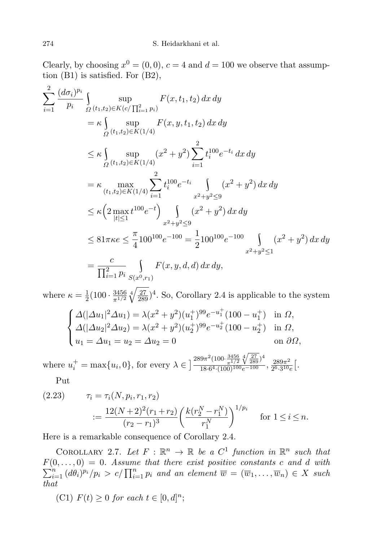Clearly, by choosing  $x^0 = (0, 0)$ ,  $c = 4$  and  $d = 100$  we observe that assumption (B1) is satisfied. For (B2),

$$
\sum_{i=1}^{2} \frac{(d\sigma_{i})^{p_{i}}}{p_{i}} \int_{\Omega} \sup_{(t_{1},t_{2}) \in K(c/\prod_{i=1}^{2} p_{i})} F(x,t_{1},t_{2}) dx dy
$$
\n
$$
= \kappa \int_{\Omega} \sup_{(t_{1},t_{2}) \in K(1/4)} F(x,y,t_{1},t_{2}) dx dy
$$
\n
$$
\leq \kappa \int_{\Omega} \sup_{(t_{1},t_{2}) \in K(1/4)} (x^{2} + y^{2}) \sum_{i=1}^{2} t_{i}^{100} e^{-t_{i}} dx dy
$$
\n
$$
= \kappa \max_{(t_{1},t_{2}) \in K(1/4)} \sum_{i=1}^{2} t_{i}^{100} e^{-t_{i}} \int_{x^{2}+y^{2} \leq 9} (x^{2} + y^{2}) dx dy
$$
\n
$$
\leq \kappa \left( 2 \max_{|t| \leq 1} t^{100} e^{-t} \right) \int_{x^{2}+y^{2} \leq 9} (x^{2} + y^{2}) dx dy
$$
\n
$$
\leq 81\pi \kappa e \leq \frac{\pi}{4} 100^{100} e^{-100} = \frac{1}{2} 100^{100} e^{-100} \int_{x^{2}+y^{2} \leq 1} (x^{2} + y^{2}) dx dy
$$
\n
$$
= \frac{c}{\prod_{i=1}^{2} p_{i}} \int_{S(x^{0},r_{1})} F(x,y,d,d) dx dy,
$$

where  $\kappa = \frac{1}{2}$  $\frac{1}{2}(100 \cdot \frac{3456}{\pi^{1/2}})$  $\frac{3456}{\pi^{1/2}}\sqrt[4]{\frac{27}{289}}$ <sup>4</sup>. So, Corollary 2.4 is applicable to the system

$$
\begin{cases}\n\Delta(|\Delta u_1|^2 \Delta u_1) = \lambda (x^2 + y^2)(u_1^+)^{99} e^{-u_1^+} (100 - u_1^+) & \text{in } \Omega, \\
\Delta(|\Delta u_2|^2 \Delta u_2) = \lambda (x^2 + y^2)(u_2^+)^{99} e^{-u_2^+} (100 - u_2^+) & \text{in } \Omega, \\
u_1 = \Delta u_1 = u_2 = \Delta u_2 = 0 & \text{on } \partial \Omega,\n\end{cases}
$$

where  $u_i^+ = \max\{u_i, 0\}$ , for every  $\lambda \in \left] \frac{289\pi^2 (100 \cdot \frac{3456}{\pi^{1/2}} \sqrt[4]{\frac{27}{289}})^4}{18.6^4 \cdot (100)^{100} e^{-100}} \right]$  $\frac{189\pi^{2}(100\cdot\frac{1}{2})(2\sqrt{289})^{7}}{18.6^{4}\cdot(100)^{100}e^{-100}}, \frac{289\pi^{2}}{2^{6}\cdot3^{10}}$  $\frac{289\pi^2}{2^6\cdot3^{10}e}$ .

Put

<span id="page-13-0"></span>
$$
(2.23) \qquad \tau_i = \tau_i(N, p_i, r_1, r_2)
$$

$$
:= \frac{12(N+2)^2(r_1+r_2)}{(r_2-r_1)^3} \left(\frac{k(r_2^N-r_1^N)}{r_1^N}\right)^{1/p_i} \quad \text{for } 1 \le i \le n.
$$

Here is a remarkable consequence of Corollary 2.4.

COROLLARY 2.7. Let  $F : \mathbb{R}^n \to \mathbb{R}$  be a  $C^1$  function in  $\mathbb{R}^n$  such that  $F(0,\ldots,0) = 0$ . Assume that there exist positive constants c and d with  $\sum_{i=1}^n (d\theta_i)^{p_i} / p_i > c / \prod_{i=1}^n p_i$  and an element  $\overline{w} = (\overline{w}_1, \ldots, \overline{w}_n) \in X$  such that

(C1)  $F(t) \geq 0$  for each  $t \in [0, d]^n$ ;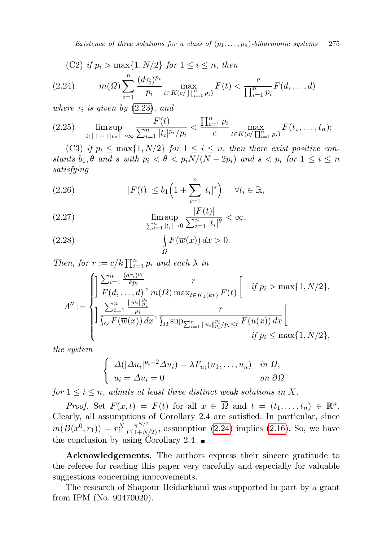Existence of three solutions for a class of  $(p_1, \ldots, p_n)$ -biharmonic systems 275

<span id="page-14-0"></span>(C2) if 
$$
p_i > \max\{1, N/2\}
$$
 for  $1 \le i \le n$ , then

(2.24) 
$$
m(\Omega) \sum_{i=1}^{n} \frac{(d\tau_i)^{p_i}}{p_i} \max_{t \in K(c/\prod_{i=1}^{n} p_i)} F(t) < \frac{c}{\prod_{i=1}^{n} p_i} F(d, \dots, d)
$$

where  $\tau_i$  is given by [\(2.23\)](#page-13-0), and

$$
(2.25) \quad \limsup_{|t_1|+\cdots+|t_n|\to\infty} \frac{F(t)}{\sum_{i=1}^n |t_i|^{p_i}/p_i} < \frac{\prod_{i=1}^n p_i}{c} \max_{t \in K(c/\prod_{i=1}^n p_i)} F(t_1,\ldots,t_n);
$$

(C3) if  $p_i \n\t\leq \max\{1, N/2\}$  for  $1 \leq i \leq n$ , then there exist positive constants  $b_1, \theta$  and s with  $p_i < \theta < p_i N/(N - 2p_i)$  and  $s < p_i$  for  $1 \leq i \leq n$ satisfying

(2.26) 
$$
|F(t)| \leq b_1 \left(1 + \sum_{i=1}^n |t_i|^s\right) \quad \forall t_i \in \mathbb{R},
$$

(2.27) 
$$
\limsup_{\sum_{i=1}^{n} |t_i| \to 0} \frac{|F(t)|}{\sum_{i=1}^{n} |t_i|^{\theta}} < \infty,
$$

(2.28) 
$$
\int_{\Omega} F(\overline{w}(x)) dx > 0.
$$

Then, for  $r := c/k \prod_{i=1}^{n} p_i$  and each  $\lambda$  in

$$
\Lambda'' := \begin{cases}\n\frac{\sum_{i=1}^{n} \frac{(d\tau_i)^{p_i}}{kp_i}}{F(d, \ldots, d)}, \frac{r}{m(\Omega) \max_{t \in K_1(kr)} F(t)} \begin{bmatrix} \text{if } p_i > \max\{1, N/2\}, \\ \frac{\sum_{i=1}^{n} \frac{\|\overline{w}_i\|_{p_i}^{p_i}}{p_i}}{p_i} & \text{if } \sum_{i=1}^{n} \frac{|\overline{w}_i\|_{p_i}^{p_i}}{p_i} \leq r} F(u(x)) \, dx \end{bmatrix} \\
\frac{\sum_{i=1}^{n} \frac{\|\overline{w}_i\|_{p_i}^{p_i}}{p_i}}{\int_{\Omega} F(\overline{w}(x)) \, dx}, \frac{r}{\int_{\Omega} \sup_{\sum_{i=1}^{n} \|u_i\|_{p_i}^{p_i}} / p_i \leq r} F(u(x)) \, dx \begin{bmatrix} \text{if } p_i \leq \max\{1, N/2\}, \end{bmatrix}\n\end{cases}
$$

the system

$$
\begin{cases}\n\Delta(|\Delta u_i|^{p_i-2}\Delta u_i) = \lambda F_{u_i}(u_1,\ldots,u_n) & \text{in } \Omega, \\
u_i = \Delta u_i = 0 & \text{on } \partial\Omega\n\end{cases}
$$

for  $1 \leq i \leq n$ , admits at least three distinct weak solutions in X.

*Proof.* Set  $F(x,t) = F(t)$  for all  $x \in \overline{\Omega}$  and  $t = (t_1, \ldots, t_n) \in \mathbb{R}^n$ . Clearly, all assumptions of Corollary 2.4 are satisfied. In particular, since  $m(B(x^0, r_1)) = r_1^N \frac{\pi^{N/2}}{\Gamma(1+N/2)}$ , assumption [\(2.24\)](#page-14-0) implies [\(2.16\)](#page-9-2). So, we have the conclusion by using Corollary 2.4.  $\blacksquare$ 

Acknowledgements. The authors express their sincere gratitude to the referee for reading this paper very carefully and especially for valuable suggestions concerning improvements.

The research of Shapour Heidarkhani was supported in part by a grant from IPM (No. 90470020).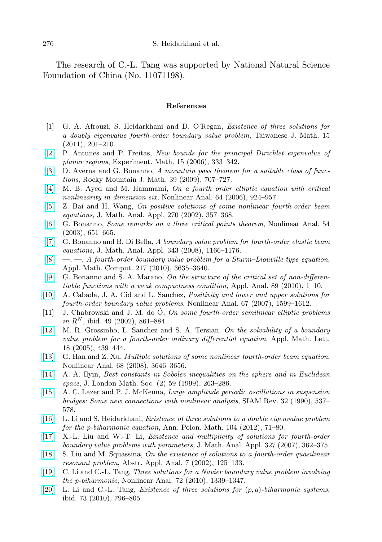The research of C.-L. Tang was supported by National Natural Science Foundation of China (No. 11071198).

## References

- <span id="page-15-6"></span>[1] G. A. Afrouzi, S. Heidarkhani and D. O'Regan, Existence of three solutions for a doubly eigenvalue fourth-order boundary value problem, Taiwanese J. Math. 15 (2011), 201–210.
- <span id="page-15-14"></span>[\[2\]](http://dx.doi.org/10.1080/10586458.2006.10128966) P. Antunes and P. Freitas, New bounds for the principal Dirichlet eigenvalue of planar regions, Experiment. Math. 15 (2006), 333–342.
- <span id="page-15-5"></span>[\[3\]](http://dx.doi.org/10.1216/RMJ-2009-39-3-707) D. Averna and G. Bonanno, A mountain pass theorem for a suitable class of functions, Rocky Mountain J. Math. 39 (2009), 707–727.
- [\[4\]](http://dx.doi.org/10.1016/j.na.2005.05.050) M. B. Ayed and M. Hammami, On a fourth order elliptic equation with critical nonlinearity in dimension six, Nonlinear Anal. 64 (2006), 924–957.
- [\[5\]](http://dx.doi.org/10.1016/S0022-247X(02)00071-9) Z. Bai and H. Wang, On positive solutions of some nonlinear fourth-order beam equations, J. Math. Anal. Appl. 270 (2002), 357–368.
- <span id="page-15-11"></span>[\[6\]](http://dx.doi.org/10.1016/S0362-546X(03)00092-0) G. Bonanno, Some remarks on a three critical points theorem, Nonlinear Anal. 54 (2003), 651–665.
- <span id="page-15-4"></span>[\[7\]](http://dx.doi.org/10.1016/j.jmaa.2008.01.049) G. Bonanno and B. Di Bella, A boundary value problem for fourth-order elastic beam equations, J. Math. Anal. Appl. 343 (2008), 1166–1176.
- $[8] \quad -, [8] \quad -,-$ , A fourth-order boundary value problem for a Sturm–Liouville type equation, Appl. Math. Comput. 217 (2010), 3635–3640.
- <span id="page-15-12"></span>[\[9\]](http://dx.doi.org/10.1080/00036810903397438) G. Bonanno and S. A. Marano, On the structure of the critical set of non-differentiable functions with a weak compactness condition, Appl. Anal. 89 (2010), 1–10.
- [\[10\]](http://dx.doi.org/10.1016/j.na.2006.08.002) A. Cabada, J. A. Cid and L. Sanchez, Positivity and lower and upper solutions for fourth-order boundary value problems, Nonlinear Anal. 67 (2007), 1599–1612.
- $[11]$  J. Chabrowski and J. M. do O, On some fourth-order semilinear elliptic problems in  $R^N$ , ibid. 49 (2002), 861–884.
- <span id="page-15-1"></span>[\[12\]](http://dx.doi.org/10.1016/j.aml.2004.03.011) M. R. Grossinho, L. Sanchez and S. A. Tersian, On the solvability of a boundary value problem for a fourth-order ordinary differential equation, Appl. Math. Lett. 18 (2005), 439–444.
- <span id="page-15-2"></span>[\[13\]](http://dx.doi.org/10.1016/j.na.2007.04.007) G. Han and Z. Xu, Multiple solutions of some nonlinear fourth-order beam equation, Nonlinear Anal. 68 (2008), 3646–3656.
- <span id="page-15-13"></span>[\[14\]](http://dx.doi.org/10.1112/S0024610798007042) A. A. Ilyin, Best constants in Sobolev inequalities on the sphere and in Euclidean space, J. London Math. Soc. (2) 59 (1999), 263–286.
- <span id="page-15-0"></span>[\[15\]](http://dx.doi.org/10.1137/1032120) A. C. Lazer and P. J. McKenna, Large amplitude periodic oscillations in suspension bridges: Some new connections with nonlinear analysis, SIAM Rev. 32 (1990), 537– 578.
- <span id="page-15-10"></span>[\[16\]](http://dx.doi.org/10.4064/ap104-1-5) L. Li and S. Heidarkhani, Existence of three solutions to a double eigenvalue problem for the p-biharmonic equation, Ann. Polon. Math. 104 (2012), 71–80.
- <span id="page-15-3"></span>[\[17\]](http://dx.doi.org/10.1016/j.jmaa.2006.04.021) X.-L. Liu and W.-T. Li, Existence and multiplicity of solutions for fourth-order boundary value problems with parameters, J. Math. Anal. Appl. 327 (2007), 362–375.
- <span id="page-15-7"></span>[\[18\]](http://dx.doi.org/10.1155/S1085337502000805) S. Liu and M. Squassina, On the existence of solutions to a fourth-order quasilinear resonant problem, Abstr. Appl. Anal. 7 (2002), 125–133.
- <span id="page-15-8"></span>[\[19\]](http://dx.doi.org/10.1016/j.na.2009.08.011) C. Li and C.-L. Tang, Three solutions for a Navier boundary value problem involving the p-biharmonic, Nonlinear Anal. 72 (2010), 1339–1347.
- <span id="page-15-9"></span>[\[20\]](http://dx.doi.org/10.1016/j.na.2010.04.018) L. Li and C.-L. Tang, *Existence of three solutions for*  $(p, q)$ -biharmonic systems, ibid. 73 (2010), 796–805.